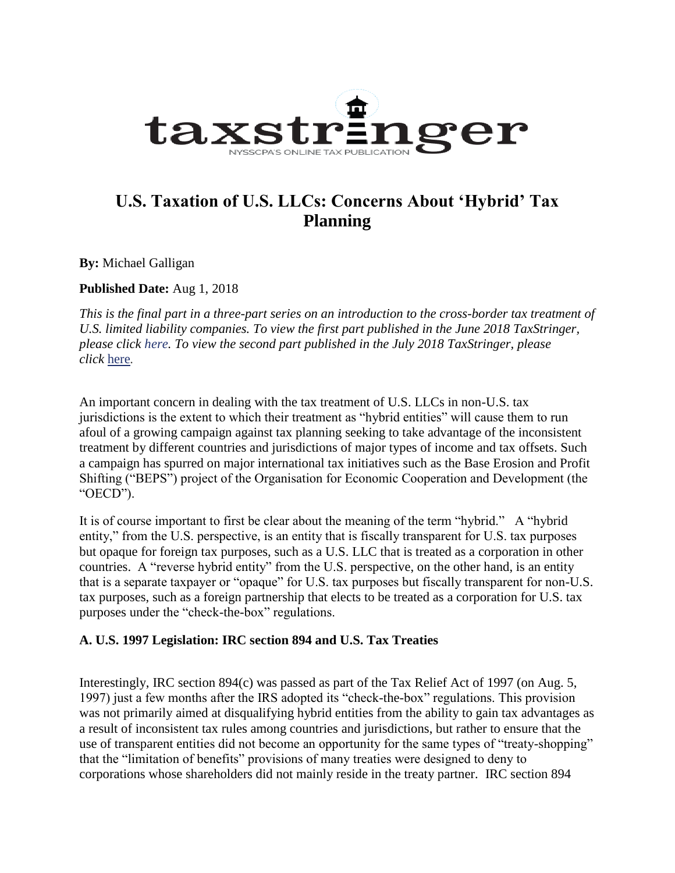

# **U.S. Taxation of U.S. LLCs: Concerns About 'Hybrid' Tax Planning**

**By:** Michael Galligan

**Published Date:** Aug 1, 2018

This is the final part in a three-part series on an introduction to the cross-border tax treatment of *U.S. limited liability companies. To view the first part published in the June 2018 TaxStringer, please click [here.](https://www.nysscpa.org/news/publications/the-tax-stringer/article/u.s.-taxation-of-u.s.-limited-liability-companies-(llcs)) To view the second part published in the July 2018 TaxStringer, please click* [here](https://www.nysscpa.org/news/publications/the-tax-stringer/article/u.s.-taxation-of-u.s.-llcs-major-considerations-in-the-international-context)*.*

An important concern in dealing with the tax treatment of U.S. LLCs in non-U.S. tax jurisdictions is the extent to which their treatment as "hybrid entities" will cause them to run afoul of a growing campaign against tax planning seeking to take advantage of the inconsistent treatment by different countries and jurisdictions of major types of income and tax offsets. Such a campaign has spurred on major international tax initiatives such as the Base Erosion and Profit Shifting ("BEPS") project of the Organisation for Economic Cooperation and Development (the "OECD").

It is of course important to first be clear about the meaning of the term "hybrid." A "hybrid entity," from the U.S. perspective, is an entity that is fiscally transparent for U.S. tax purposes but opaque for foreign tax purposes, such as a U.S. LLC that is treated as a corporation in other countries. A "reverse hybrid entity" from the U.S. perspective, on the other hand, is an entity that is a separate taxpayer or "opaque" for U.S. tax purposes but fiscally transparent for non-U.S. tax purposes, such as a foreign partnership that elects to be treated as a corporation for U.S. tax purposes under the "check-the-box" regulations.

#### **A. U.S. 1997 Legislation: IRC section 894 and U.S. Tax Treaties**

Interestingly, IRC section 894(c) was passed as part of the Tax Relief Act of 1997 (on Aug. 5, 1997) just a few months after the IRS adopted its "check-the-box" regulations. This provision was not primarily aimed at disqualifying hybrid entities from the ability to gain tax advantages as a result of inconsistent tax rules among countries and jurisdictions, but rather to ensure that the use of transparent entities did not become an opportunity for the same types of "treaty-shopping" that the "limitation of benefits" provisions of many treaties were designed to deny to corporations whose shareholders did not mainly reside in the treaty partner. IRC section 894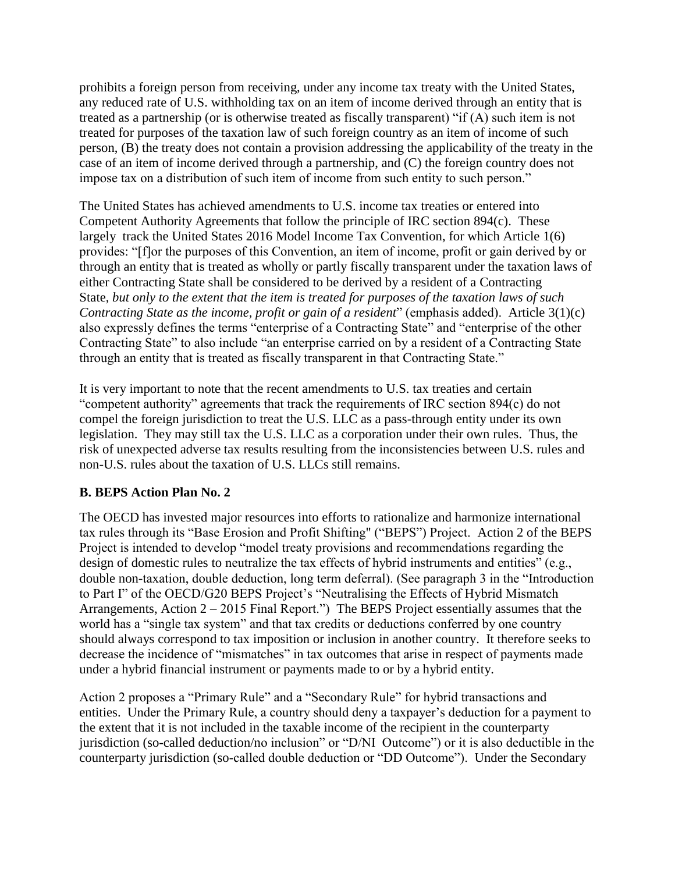prohibits a foreign person from receiving, under any income tax treaty with the United States, any reduced rate of U.S. withholding tax on an item of income derived through an entity that is treated as a partnership (or is otherwise treated as fiscally transparent) "if (A) such item is not treated for purposes of the taxation law of such foreign country as an item of income of such person, (B) the treaty does not contain a provision addressing the applicability of the treaty in the case of an item of income derived through a partnership, and (C) the foreign country does not impose tax on a distribution of such item of income from such entity to such person."

The United States has achieved amendments to U.S. income tax treaties or entered into Competent Authority Agreements that follow the principle of IRC section 894(c). These largely track the United States 2016 Model Income Tax Convention, for which Article 1(6) provides: "[f]or the purposes of this Convention, an item of income, profit or gain derived by or through an entity that is treated as wholly or partly fiscally transparent under the taxation laws of either Contracting State shall be considered to be derived by a resident of a Contracting State, *but only to the extent that the item is treated for purposes of the taxation laws of such Contracting State as the income, profit or gain of a resident*" (emphasis added). Article 3(1)(c) also expressly defines the terms "enterprise of a Contracting State" and "enterprise of the other Contracting State" to also include "an enterprise carried on by a resident of a Contracting State through an entity that is treated as fiscally transparent in that Contracting State."

It is very important to note that the recent amendments to U.S. tax treaties and certain "competent authority" agreements that track the requirements of IRC section 894(c) do not compel the foreign jurisdiction to treat the U.S. LLC as a pass-through entity under its own legislation. They may still tax the U.S. LLC as a corporation under their own rules. Thus, the risk of unexpected adverse tax results resulting from the inconsistencies between U.S. rules and non-U.S. rules about the taxation of U.S. LLCs still remains.

## **B. BEPS Action Plan No. 2**

The OECD has invested major resources into efforts to rationalize and harmonize international tax rules through its "Base Erosion and Profit Shifting" ("BEPS") Project. Action 2 of the BEPS Project is intended to develop "model treaty provisions and recommendations regarding the design of domestic rules to neutralize the tax effects of hybrid instruments and entities" (e.g., double non-taxation, double deduction, long term deferral). (See paragraph 3 in the "Introduction to Part I" of the OECD/G20 BEPS Project's "Neutralising the Effects of Hybrid Mismatch Arrangements, Action 2 – 2015 Final Report.") The BEPS Project essentially assumes that the world has a "single tax system" and that tax credits or deductions conferred by one country should always correspond to tax imposition or inclusion in another country. It therefore seeks to decrease the incidence of "mismatches" in tax outcomes that arise in respect of payments made under a hybrid financial instrument or payments made to or by a hybrid entity.

Action 2 proposes a "Primary Rule" and a "Secondary Rule" for hybrid transactions and entities. Under the Primary Rule, a country should deny a taxpayer's deduction for a payment to the extent that it is not included in the taxable income of the recipient in the counterparty jurisdiction (so-called deduction/no inclusion" or "D/NI Outcome") or it is also deductible in the counterparty jurisdiction (so-called double deduction or "DD Outcome"). Under the Secondary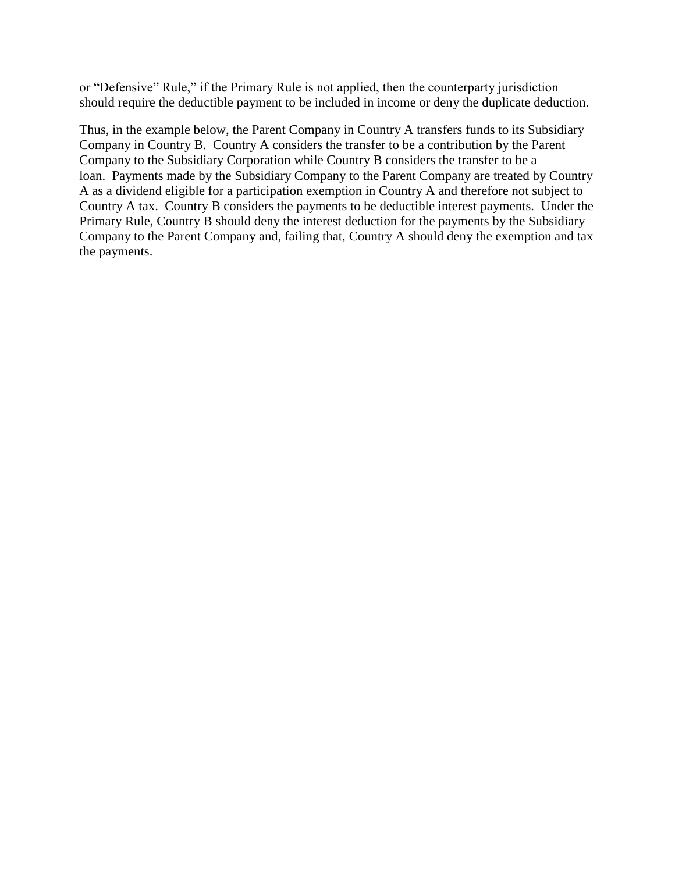or "Defensive" Rule," if the Primary Rule is not applied, then the counterparty jurisdiction should require the deductible payment to be included in income or deny the duplicate deduction.

Thus, in the example below, the Parent Company in Country A transfers funds to its Subsidiary Company in Country B. Country A considers the transfer to be a contribution by the Parent Company to the Subsidiary Corporation while Country B considers the transfer to be a loan. Payments made by the Subsidiary Company to the Parent Company are treated by Country A as a dividend eligible for a participation exemption in Country A and therefore not subject to Country A tax. Country B considers the payments to be deductible interest payments. Under the Primary Rule, Country B should deny the interest deduction for the payments by the Subsidiary Company to the Parent Company and, failing that, Country A should deny the exemption and tax the payments.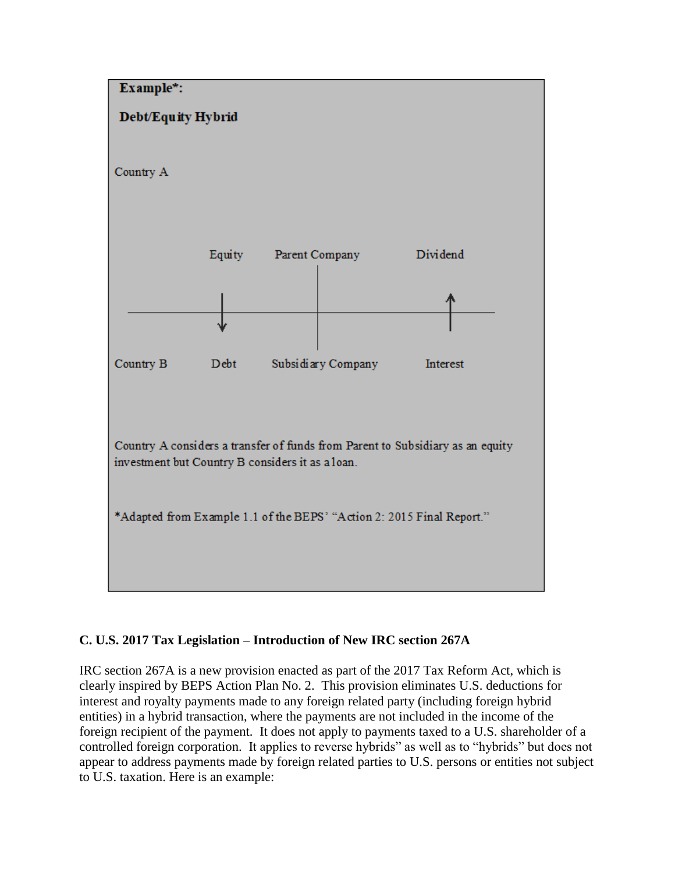

# **C. U.S. 2017 Tax Legislation – Introduction of New IRC section 267A**

IRC section 267A is a new provision enacted as part of the 2017 Tax Reform Act, which is clearly inspired by BEPS Action Plan No. 2. This provision eliminates U.S. deductions for interest and royalty payments made to any foreign related party (including foreign hybrid entities) in a hybrid transaction, where the payments are not included in the income of the foreign recipient of the payment. It does not apply to payments taxed to a U.S. shareholder of a controlled foreign corporation. It applies to reverse hybrids" as well as to "hybrids" but does not appear to address payments made by foreign related parties to U.S. persons or entities not subject to U.S. taxation. Here is an example: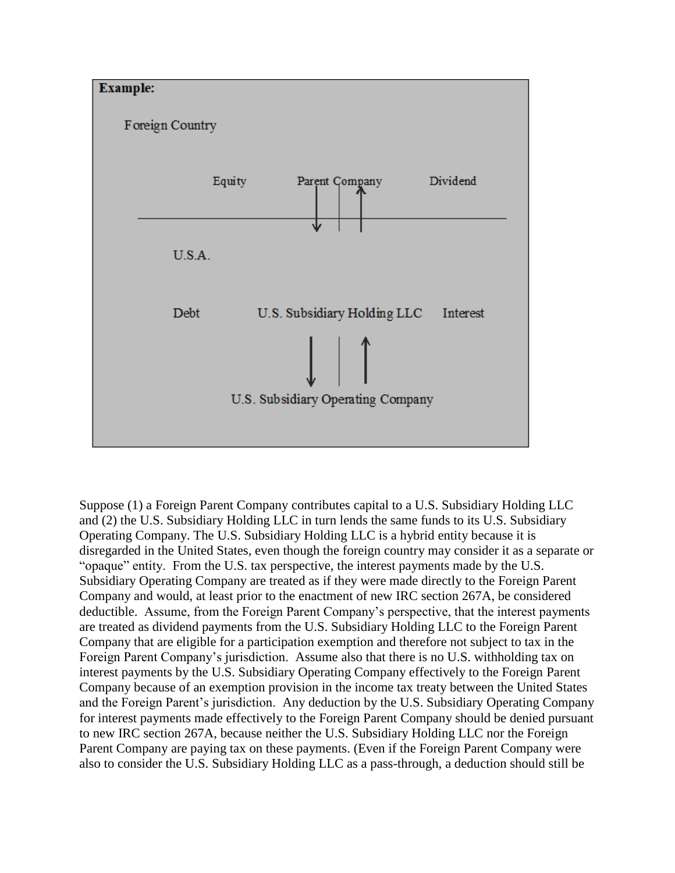

Suppose (1) a Foreign Parent Company contributes capital to a U.S. Subsidiary Holding LLC and (2) the U.S. Subsidiary Holding LLC in turn lends the same funds to its U.S. Subsidiary Operating Company. The U.S. Subsidiary Holding LLC is a hybrid entity because it is disregarded in the United States, even though the foreign country may consider it as a separate or "opaque" entity. From the U.S. tax perspective, the interest payments made by the U.S. Subsidiary Operating Company are treated as if they were made directly to the Foreign Parent Company and would, at least prior to the enactment of new IRC section 267A, be considered deductible. Assume, from the Foreign Parent Company's perspective, that the interest payments are treated as dividend payments from the U.S. Subsidiary Holding LLC to the Foreign Parent Company that are eligible for a participation exemption and therefore not subject to tax in the Foreign Parent Company's jurisdiction. Assume also that there is no U.S. withholding tax on interest payments by the U.S. Subsidiary Operating Company effectively to the Foreign Parent Company because of an exemption provision in the income tax treaty between the United States and the Foreign Parent's jurisdiction. Any deduction by the U.S. Subsidiary Operating Company for interest payments made effectively to the Foreign Parent Company should be denied pursuant to new IRC section 267A, because neither the U.S. Subsidiary Holding LLC nor the Foreign Parent Company are paying tax on these payments. (Even if the Foreign Parent Company were also to consider the U.S. Subsidiary Holding LLC as a pass-through, a deduction should still be